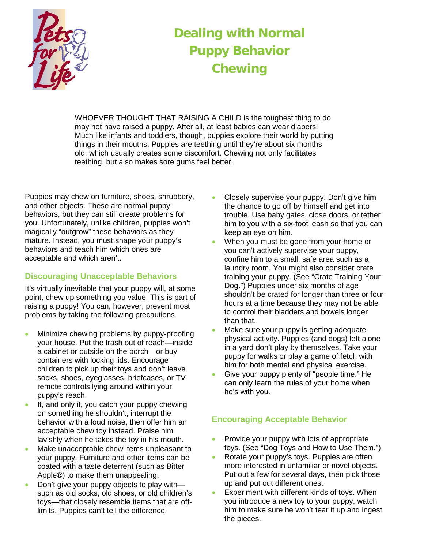

# **Dealing with Normal Puppy Behavior Chewing**

WHOEVER THOUGHT THAT RAISING A CHILD is the toughest thing to do may not have raised a puppy. After all, at least babies can wear diapers! Much like infants and toddlers, though, puppies explore their world by putting things in their mouths. Puppies are teething until they're about six months old, which usually creates some discomfort. Chewing not only facilitates teething, but also makes sore gums feel better.

Puppies may chew on furniture, shoes, shrubbery, and other objects. These are normal puppy behaviors, but they can still create problems for you. Unfortunately, unlike children, puppies won't magically "outgrow" these behaviors as they mature. Instead, you must shape your puppy's behaviors and teach him which ones are acceptable and which aren't.

## **Discouraging Unacceptable Behaviors**

It's virtually inevitable that your puppy will, at some point, chew up something you value. This is part of raising a puppy! You can, however, prevent most problems by taking the following precautions.

- Minimize chewing problems by puppy-proofing your house. Put the trash out of reach—inside a cabinet or outside on the porch—or buy containers with locking lids. Encourage children to pick up their toys and don't leave socks, shoes, eyeglasses, briefcases, or TV remote controls lying around within your puppy's reach.
- If, and only if, you catch your puppy chewing on something he shouldn't, interrupt the behavior with a loud noise, then offer him an acceptable chew toy instead. Praise him lavishly when he takes the toy in his mouth.
- Make unacceptable chew items unpleasant to your puppy. Furniture and other items can be coated with a taste deterrent (such as Bitter Apple®) to make them unappealing.
- Don't give your puppy objects to play with such as old socks, old shoes, or old children's toys—that closely resemble items that are offlimits. Puppies can't tell the difference.
- Closely supervise your puppy. Don't give him the chance to go off by himself and get into trouble. Use baby gates, close doors, or tether him to you with a six-foot leash so that you can keep an eye on him.
- When you must be gone from your home or you can't actively supervise your puppy, confine him to a small, safe area such as a laundry room. You might also consider crate training your puppy. (See "Crate Training Your Dog.") Puppies under six months of age shouldn't be crated for longer than three or four hours at a time because they may not be able to control their bladders and bowels longer than that.
- Make sure your puppy is getting adequate physical activity. Puppies (and dogs) left alone in a yard don't play by themselves. Take your puppy for walks or play a game of fetch with him for both mental and physical exercise.
- Give your puppy plenty of "people time." He can only learn the rules of your home when he's with you.

## **Encouraging Acceptable Behavior**

- Provide your puppy with lots of appropriate toys. (See "Dog Toys and How to Use Them.")
- Rotate your puppy's toys. Puppies are often more interested in unfamiliar or novel objects. Put out a few for several days, then pick those up and put out different ones.
- Experiment with different kinds of toys. When you introduce a new toy to your puppy, watch him to make sure he won't tear it up and ingest the pieces.